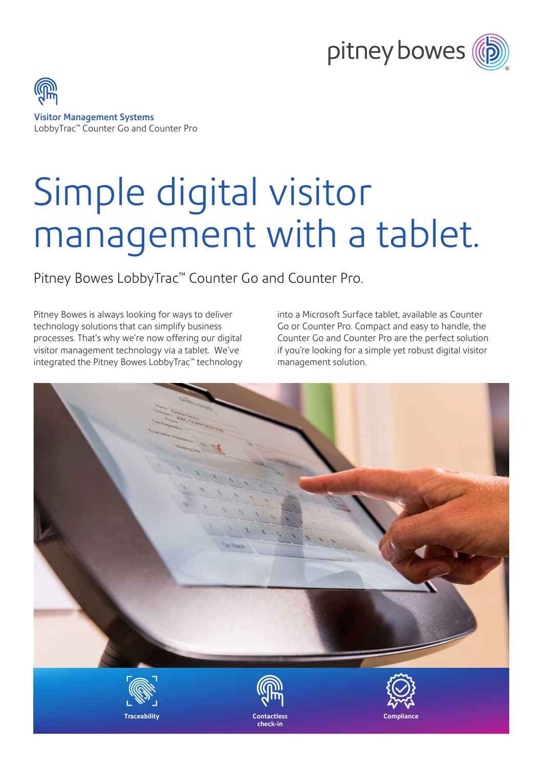

Visitor Management Systems LobbyTrac™ Counter Go and Counter Pro

# Simple digital visitor management with a tablet.

Pitney Bowes LobbyTrac™ Counter Go and Counter Pro.

Pitney Bowes is always looking for ways to deliver technology solutions that can simplify business processes. That's why we're now offering our digital visitor management technology via a tablet. We've integrated the Pitney Bowes LobbyTrac™ technology into a Microsoft Surface tablet, available as Counter Go or Counter Pro. Compact and easy to handle, the Counter Go and Counter Pro are the perfect solution if you're looking for a simple yet robust digital visitor management solution.